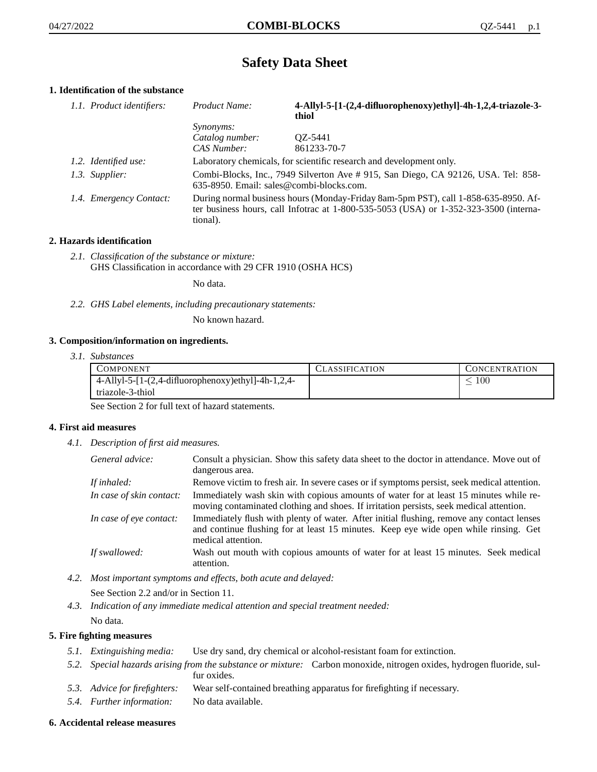## **Safety Data Sheet**

## **1. Identification of the substance**

| 1.1. Product identifiers: | Product Name:    | 4-Allyl-5-[1-(2,4-difluorophenoxy)ethyl]-4h-1,2,4-triazole-3-<br>thiol                                                                                                      |
|---------------------------|------------------|-----------------------------------------------------------------------------------------------------------------------------------------------------------------------------|
|                           | <i>Synonyms:</i> |                                                                                                                                                                             |
|                           | Catalog number:  | OZ-5441                                                                                                                                                                     |
|                           | CAS Number:      | 861233-70-7                                                                                                                                                                 |
| 1.2. Identified use:      |                  | Laboratory chemicals, for scientific research and development only.                                                                                                         |
| 1.3. Supplier:            |                  | Combi-Blocks, Inc., 7949 Silverton Ave # 915, San Diego, CA 92126, USA. Tel: 858-<br>635-8950. Email: sales@combi-blocks.com.                                               |
| 1.4. Emergency Contact:   | tional).         | During normal business hours (Monday-Friday 8am-5pm PST), call 1-858-635-8950. Af-<br>ter business hours, call Infotrac at 1-800-535-5053 (USA) or 1-352-323-3500 (interna- |

## **2. Hazards identification**

*2.1. Classification of the substance or mixture:* GHS Classification in accordance with 29 CFR 1910 (OSHA HCS)

No data.

*2.2. GHS Label elements, including precautionary statements:*

No known hazard.

#### **3. Composition/information on ingredients.**

*3.1. Substances*

| <b>COMPONENT</b>                                      | <b>CLASSIFICATION</b> | <b>CONCENTRATION</b> |
|-------------------------------------------------------|-----------------------|----------------------|
| $4$ -Allyl-5-[1-(2,4-difluorophenoxy)ethyl]-4h-1,2,4- |                       | 100 <sub>1</sub>     |
| triazole-3-thiol                                      |                       |                      |

See Section 2 for full text of hazard statements.

#### **4. First aid measures**

*4.1. Description of first aid measures.*

| General advice:          | Consult a physician. Show this safety data sheet to the doctor in attendance. Move out of<br>dangerous area.                                                                                            |
|--------------------------|---------------------------------------------------------------------------------------------------------------------------------------------------------------------------------------------------------|
| If inhaled:              | Remove victim to fresh air. In severe cases or if symptoms persist, seek medical attention.                                                                                                             |
| In case of skin contact: | Immediately wash skin with copious amounts of water for at least 15 minutes while re-<br>moving contaminated clothing and shoes. If irritation persists, seek medical attention.                        |
| In case of eye contact:  | Immediately flush with plenty of water. After initial flushing, remove any contact lenses<br>and continue flushing for at least 15 minutes. Keep eye wide open while rinsing. Get<br>medical attention. |
| If swallowed:            | Wash out mouth with copious amounts of water for at least 15 minutes. Seek medical<br>attention.                                                                                                        |

*4.2. Most important symptoms and effects, both acute and delayed:*

See Section 2.2 and/or in Section 11.

*4.3. Indication of any immediate medical attention and special treatment needed:* No data.

# **5. Fire fighting measures**

- *5.1. Extinguishing media:* Use dry sand, dry chemical or alcohol-resistant foam for extinction.
- *5.2. Special hazards arising from the substance or mixture:* Carbon monoxide, nitrogen oxides, hydrogen fluoride, sulfur oxides.
- *5.3. Advice for firefighters:* Wear self-contained breathing apparatus for firefighting if necessary.
- *5.4. Further information:* No data available.

#### **6. Accidental release measures**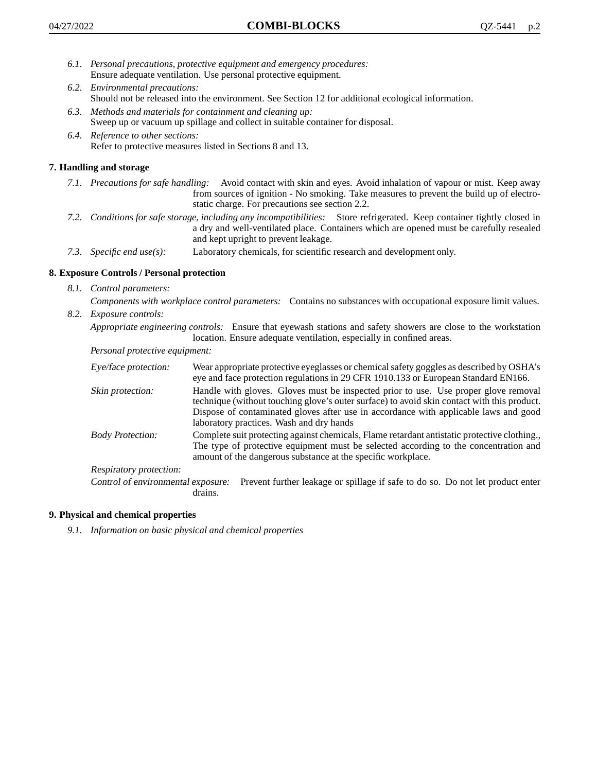- *6.1. Personal precautions, protective equipment and emergency procedures:* Ensure adequate ventilation. Use personal protective equipment.
- *6.2. Environmental precautions:* Should not be released into the environment. See Section 12 for additional ecological information.
- *6.3. Methods and materials for containment and cleaning up:* Sweep up or vacuum up spillage and collect in suitable container for disposal.
- *6.4. Reference to other sections:* Refer to protective measures listed in Sections 8 and 13.

## **7. Handling and storage**

- *7.1. Precautions for safe handling:* Avoid contact with skin and eyes. Avoid inhalation of vapour or mist. Keep away from sources of ignition - No smoking. Take measures to prevent the build up of electrostatic charge. For precautions see section 2.2.
- *7.2. Conditions for safe storage, including any incompatibilities:* Store refrigerated. Keep container tightly closed in a dry and well-ventilated place. Containers which are opened must be carefully resealed and kept upright to prevent leakage.
- *7.3. Specific end use(s):* Laboratory chemicals, for scientific research and development only.

## **8. Exposure Controls / Personal protection**

- *8.1. Control parameters:*
	- *Components with workplace control parameters:* Contains no substances with occupational exposure limit values.
- *8.2. Exposure controls:*

*Appropriate engineering controls:* Ensure that eyewash stations and safety showers are close to the workstation location. Ensure adequate ventilation, especially in confined areas.

*Personal protective equipment:*

| Eye/face protection:               | Wear appropriate protective eyeglasses or chemical safety goggles as described by OSHA's<br>eye and face protection regulations in 29 CFR 1910.133 or European Standard EN166.                                                                                                                                         |  |
|------------------------------------|------------------------------------------------------------------------------------------------------------------------------------------------------------------------------------------------------------------------------------------------------------------------------------------------------------------------|--|
| Skin protection:                   | Handle with gloves. Gloves must be inspected prior to use. Use proper glove removal<br>technique (without touching glove's outer surface) to avoid skin contact with this product.<br>Dispose of contaminated gloves after use in accordance with applicable laws and good<br>laboratory practices. Wash and dry hands |  |
| <b>Body Protection:</b>            | Complete suit protecting against chemicals, Flame retardant antistatic protective clothing.,<br>The type of protective equipment must be selected according to the concentration and<br>amount of the dangerous substance at the specific workplace.                                                                   |  |
| <b>Respiratory protection:</b>     |                                                                                                                                                                                                                                                                                                                        |  |
| Control of environmental exposure: | Prevent further leakage or spillage if safe to do so. Do not let product enter<br>drains.                                                                                                                                                                                                                              |  |

## **9. Physical and chemical properties**

*9.1. Information on basic physical and chemical properties*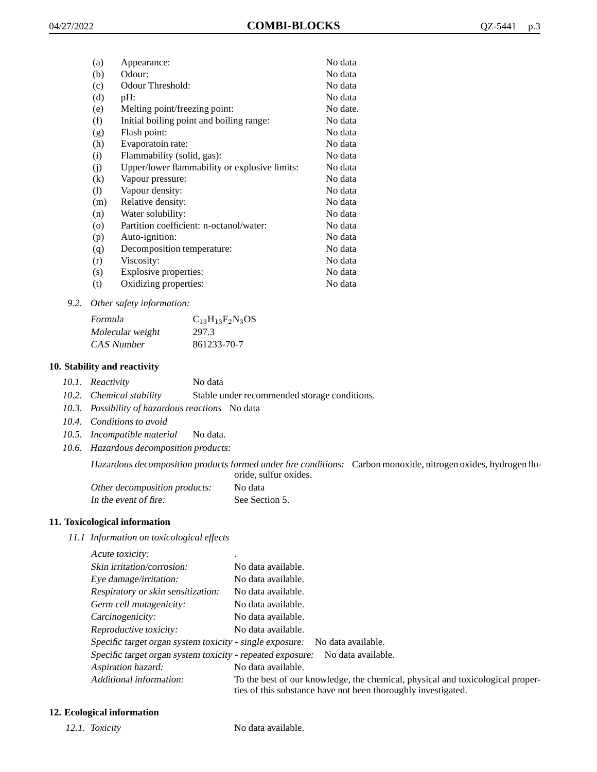| (a)               | Appearance:                                   | No data  |
|-------------------|-----------------------------------------------|----------|
| (b)               | Odour:                                        | No data  |
| (c)               | Odour Threshold:                              | No data  |
| (d)               | pH:                                           | No data  |
| (e)               | Melting point/freezing point:                 | No date. |
| (f)               | Initial boiling point and boiling range:      | No data  |
| (g)               | Flash point:                                  | No data  |
| (h)               | Evaporatoin rate:                             | No data  |
| (i)               | Flammability (solid, gas):                    | No data  |
| (j)               | Upper/lower flammability or explosive limits: | No data  |
| $\left( k\right)$ | Vapour pressure:                              | No data  |
| (1)               | Vapour density:                               | No data  |
| (m)               | Relative density:                             | No data  |
| (n)               | Water solubility:                             | No data  |
| $\circ$           | Partition coefficient: n-octanol/water:       | No data  |
| (p)               | Auto-ignition:                                | No data  |
| (q)               | Decomposition temperature:                    | No data  |
| (r)               | Viscosity:                                    | No data  |
| (s)               | Explosive properties:                         | No data  |
| (t)               | Oxidizing properties:                         | No data  |
|                   |                                               |          |

#### *9.2. Other safety information:*

| Formula          | $C_{13}H_{13}F_2N_3OS$ |
|------------------|------------------------|
| Molecular weight | 297.3                  |
| CAS Number       | 861233-70-7            |

## **10. Stability and reactivity**

|  | 10.1. Reactivity | No data |
|--|------------------|---------|
|--|------------------|---------|

- *10.2. Chemical stability* Stable under recommended storage conditions.
- *10.3. Possibility of hazardous reactions* No data
- *10.4. Conditions to avoid*
- *10.5. Incompatible material* No data.
- *10.6. Hazardous decomposition products:*

Hazardous decomposition products formed under fire conditions: Carbon monoxide, nitrogen oxides, hydrogen fluoride, sulfur oxides.

| Other decomposition products: | No data        |
|-------------------------------|----------------|
| In the event of fire:         | See Section 5. |

#### **11. Toxicological information**

*11.1 Information on toxicological effects*

| Acute toxicity: |  |
|-----------------|--|
|                 |  |

| Skin irritation/corrosion:                                 | No data available.                                                                                                                              |
|------------------------------------------------------------|-------------------------------------------------------------------------------------------------------------------------------------------------|
|                                                            |                                                                                                                                                 |
| Eye damage/irritation:                                     | No data available.                                                                                                                              |
| Respiratory or skin sensitization:                         | No data available.                                                                                                                              |
| Germ cell mutagenicity:                                    | No data available.                                                                                                                              |
| Carcinogenicity:                                           | No data available.                                                                                                                              |
| Reproductive toxicity:                                     | No data available.                                                                                                                              |
| Specific target organ system toxicity - single exposure:   | No data available.                                                                                                                              |
| Specific target organ system toxicity - repeated exposure: | No data available.                                                                                                                              |
| Aspiration hazard:                                         | No data available.                                                                                                                              |
| Additional information:                                    | To the best of our knowledge, the chemical, physical and toxicological proper-<br>ties of this substance have not been thoroughly investigated. |

## **12. Ecological information**

*12.1. Toxicity* No data available.